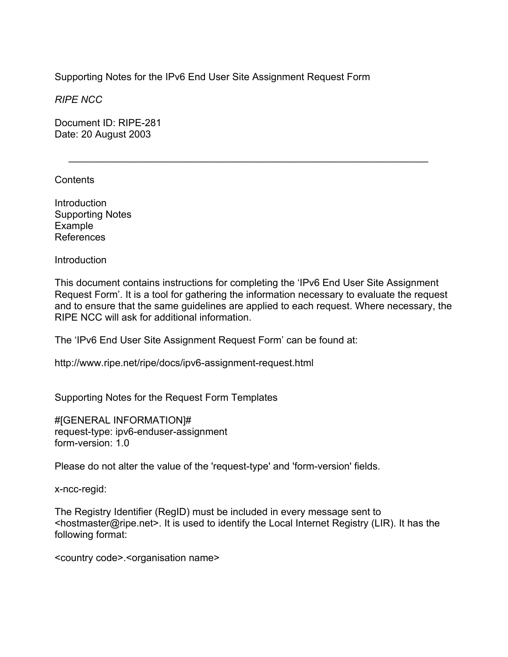Supporting Notes for the IPv6 End User Site Assignment Request Form

*RIPE NCC* 

Document ID: RIPE-281 Date: 20 August 2003

Contents

Introduction Supporting Notes Example References

Introduction

This document contains instructions for completing the 'IPv6 End User Site Assignment Request Form'. It is a tool for gathering the information necessary to evaluate the request and to ensure that the same guidelines are applied to each request. Where necessary, the RIPE NCC will ask for additional information.

 $\mathcal{L}=\underbrace{\mathcal{L}=\mathcal{L}=\mathcal{L}=\mathcal{L}=\mathcal{L}=\mathcal{L}=\mathcal{L}=\mathcal{L}=\mathcal{L}=\mathcal{L}=\mathcal{L}=\mathcal{L}=\mathcal{L}=\mathcal{L}=\mathcal{L}=\mathcal{L}=\mathcal{L}=\mathcal{L}=\mathcal{L}=\mathcal{L}=\mathcal{L}=\mathcal{L}=\mathcal{L}=\mathcal{L}=\mathcal{L}=\mathcal{L}=\mathcal{L}=\mathcal{L}=\mathcal{L}=\mathcal{L}=\mathcal{L}=\mathcal{L}=\mathcal{L}=\mathcal{L}=\mathcal{L}=\$ 

The 'IPv6 End User Site Assignment Request Form' can be found at:

http://www.ripe.net/ripe/docs/ipv6-assignment-request.html

Supporting Notes for the Request Form Templates

#[GENERAL INFORMATION]# request-type: ipv6-enduser-assignment form-version: 1.0

Please do not alter the value of the 'request-type' and 'form-version' fields.

x-ncc-regid:

The Registry Identifier (RegID) must be included in every message sent to <hostmaster@ripe.net>. It is used to identify the Local Internet Registry (LIR). It has the following format:

<country code>.<organisation name>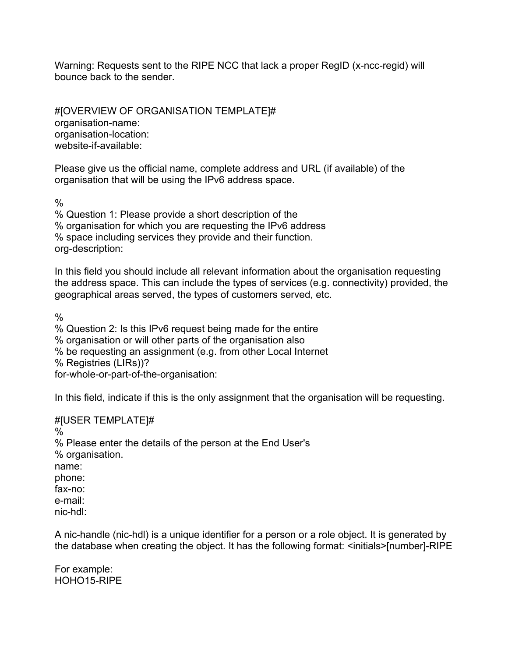Warning: Requests sent to the RIPE NCC that lack a proper RegID (x-ncc-regid) will bounce back to the sender.

#[OVERVIEW OF ORGANISATION TEMPLATE]# organisation-name: organisation-location: website-if-available:

Please give us the official name, complete address and URL (if available) of the organisation that will be using the IPv6 address space.

 $\frac{0}{0}$ 

% Question 1: Please provide a short description of the % organisation for which you are requesting the IPv6 address % space including services they provide and their function. org-description:

In this field you should include all relevant information about the organisation requesting the address space. This can include the types of services (e.g. connectivity) provided, the geographical areas served, the types of customers served, etc.

 $\frac{0}{0}$ 

% Question 2: Is this IPv6 request being made for the entire % organisation or will other parts of the organisation also % be requesting an assignment (e.g. from other Local Internet % Registries (LIRs))? for-whole-or-part-of-the-organisation:

In this field, indicate if this is the only assignment that the organisation will be requesting.

#[USER TEMPLATE]# % % Please enter the details of the person at the End User's % organisation. name: phone: fax-no: e-mail: nic-hdl:

A nic-handle (nic-hdl) is a unique identifier for a person or a role object. It is generated by the database when creating the object. It has the following format: <initials>[number]-RIPE

For example: HOHO15-RIPE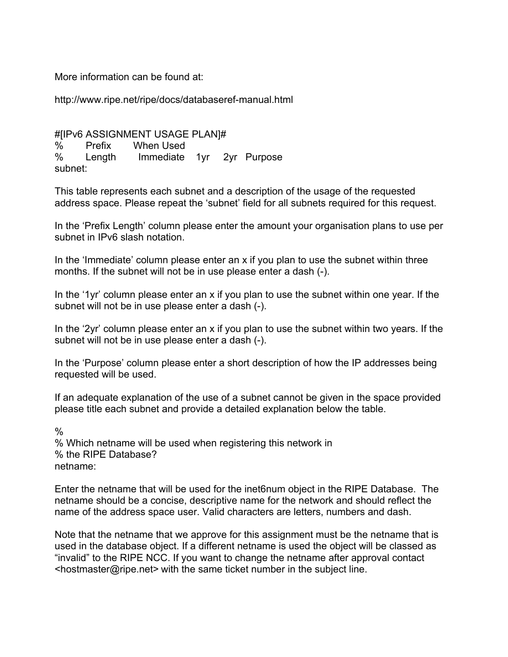More information can be found at:

http://www.ripe.net/ripe/docs/databaseref-manual.html

#[IPv6 ASSIGNMENT USAGE PLAN]# % Prefix When Used % Length Immediate 1yr 2yr Purpose subnet:

This table represents each subnet and a description of the usage of the requested address space. Please repeat the 'subnet' field for all subnets required for this request.

In the 'Prefix Length' column please enter the amount your organisation plans to use per subnet in IPv6 slash notation.

In the 'Immediate' column please enter an x if you plan to use the subnet within three months. If the subnet will not be in use please enter a dash (-).

In the '1yr' column please enter an x if you plan to use the subnet within one year. If the subnet will not be in use please enter a dash (-).

In the '2yr' column please enter an x if you plan to use the subnet within two years. If the subnet will not be in use please enter a dash (-).

In the 'Purpose' column please enter a short description of how the IP addresses being requested will be used.

If an adequate explanation of the use of a subnet cannot be given in the space provided please title each subnet and provide a detailed explanation below the table.

 $\frac{0}{0}$ % Which netname will be used when registering this network in % the RIPE Database? netname:

Enter the netname that will be used for the inet6num object in the RIPE Database. The netname should be a concise, descriptive name for the network and should reflect the name of the address space user. Valid characters are letters, numbers and dash.

Note that the netname that we approve for this assignment must be the netname that is used in the database object. If a different netname is used the object will be classed as "invalid" to the RIPE NCC. If you want to change the netname after approval contact <hostmaster@ripe.net> with the same ticket number in the subject line.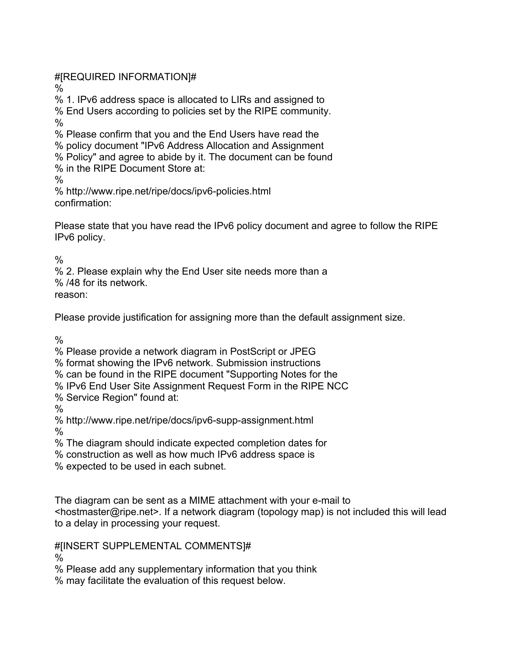#[REQUIRED INFORMATION]#

%

% 1. IPv6 address space is allocated to LIRs and assigned to

% End Users according to policies set by the RIPE community.  $\frac{0}{0}$ 

% Please confirm that you and the End Users have read the

% policy document "IPv6 Address Allocation and Assignment

% Policy" and agree to abide by it. The document can be found

% in the RIPE Document Store at:

 $\frac{0}{6}$ 

% http://www.ripe.net/ripe/docs/ipv6-policies.html confirmation:

Please state that you have read the IPv6 policy document and agree to follow the RIPE IPv6 policy.

 $\frac{0}{0}$ 

% 2. Please explain why the End User site needs more than a

% /48 for its network.

reason:

Please provide justification for assigning more than the default assignment size.

 $\frac{0}{6}$ 

% Please provide a network diagram in PostScript or JPEG

% format showing the IPv6 network. Submission instructions

% can be found in the RIPE document "Supporting Notes for the

% IPv6 End User Site Assignment Request Form in the RIPE NCC

% Service Region" found at:

%

% http://www.ripe.net/ripe/docs/ipv6-supp-assignment.html

%

% The diagram should indicate expected completion dates for

% construction as well as how much IPv6 address space is

% expected to be used in each subnet.

The diagram can be sent as a MIME attachment with your e-mail to <hostmaster@ripe.net>. If a network diagram (topology map) is not included this will lead to a delay in processing your request.

#[INSERT SUPPLEMENTAL COMMENTS]#

%

% Please add any supplementary information that you think

% may facilitate the evaluation of this request below.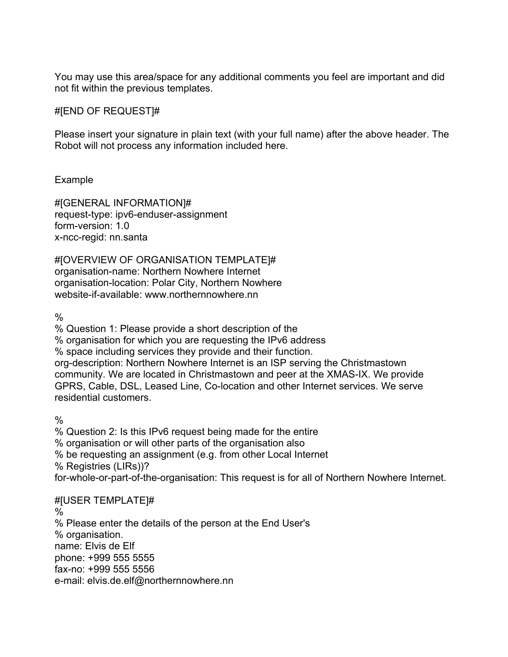You may use this area/space for any additional comments you feel are important and did not fit within the previous templates.

# #[END OF REQUEST]#

Please insert your signature in plain text (with your full name) after the above header. The Robot will not process any information included here.

# Example

#[GENERAL INFORMATION]# request-type: ipv6-enduser-assignment form-version: 1.0 x-ncc-regid: nn.santa

#[OVERVIEW OF ORGANISATION TEMPLATE]# organisation-name: Northern Nowhere Internet organisation-location: Polar City, Northern Nowhere website-if-available: www.northernnowhere.nn

 $\frac{0}{0}$ 

% Question 1: Please provide a short description of the

% organisation for which you are requesting the IPv6 address

% space including services they provide and their function.

org-description: Northern Nowhere Internet is an ISP serving the Christmastown community. We are located in Christmastown and peer at the XMAS-IX. We provide GPRS, Cable, DSL, Leased Line, Co-location and other Internet services. We serve residential customers.

 $\frac{0}{0}$ 

% Question 2: Is this IPv6 request being made for the entire % organisation or will other parts of the organisation also % be requesting an assignment (e.g. from other Local Internet % Registries (LIRs))? for-whole-or-part-of-the-organisation: This request is for all of Northern Nowhere Internet.

# #[USER TEMPLATE]#

 $\%$ % Please enter the details of the person at the End User's % organisation. name: Elvis de Elf phone: +999 555 5555 fax-no: +999 555 5556 e-mail: elvis.de.elf@northernnowhere.nn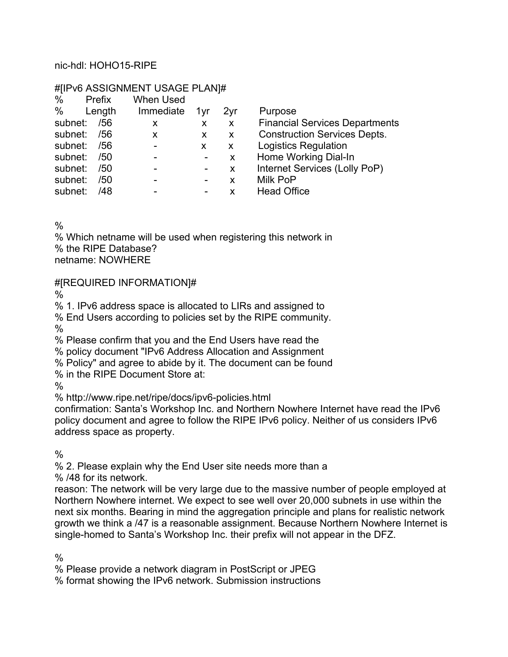### nic-hdl: HOHO15-RIPE

#### #[IPv6 ASSIGNMENT USAGE PLAN]#

| %           | Prefix | <b>When Used</b> |   |                 |
|-------------|--------|------------------|---|-----------------|
| % Length    |        | Immediate 1yr    |   | 2 <sub>vr</sub> |
| subnet: /56 |        | X                | X | X               |
| subnet: /56 |        | X                | X | X               |
| subnet: /56 |        |                  | X | X               |
| subnet: /50 |        |                  |   | X               |
| subnet: /50 |        |                  |   | X               |
| subnet: /50 |        |                  |   | X               |
| subnet:     | /48    |                  |   | X               |

Purpose

**Financial Services Departments** 

Construction Services Depts.

**Logistics Regulation** 

Home Working Dial-In

- Internet Services (Lolly PoP)
- Milk PoP
- Head Office

 $\frac{0}{6}$ 

% Which netname will be used when registering this network in % the RIPE Database? netname: NOWHERE

# #[REQUIRED INFORMATION]#

 $\frac{0}{n}$ 

% 1. IPv6 address space is allocated to LIRs and assigned to

% End Users according to policies set by the RIPE community.

%

% Please confirm that you and the End Users have read the

% policy document "IPv6 Address Allocation and Assignment

% Policy" and agree to abide by it. The document can be found

% in the RIPE Document Store at:

%

% http://www.ripe.net/ripe/docs/ipv6-policies.html

confirmation: Santa's Workshop Inc. and Northern Nowhere Internet have read the IPv6 policy document and agree to follow the RIPE IPv6 policy. Neither of us considers IPv6 address space as property.

 $\frac{0}{0}$ 

% 2. Please explain why the End User site needs more than a

% /48 for its network.

reason: The network will be very large due to the massive number of people employed at Northern Nowhere internet. We expect to see well over 20,000 subnets in use within the next six months. Bearing in mind the aggregation principle and plans for realistic network growth we think a /47 is a reasonable assignment. Because Northern Nowhere Internet is single-homed to Santa's Workshop Inc. their prefix will not appear in the DFZ.

%

% Please provide a network diagram in PostScript or JPEG

% format showing the IPv6 network. Submission instructions